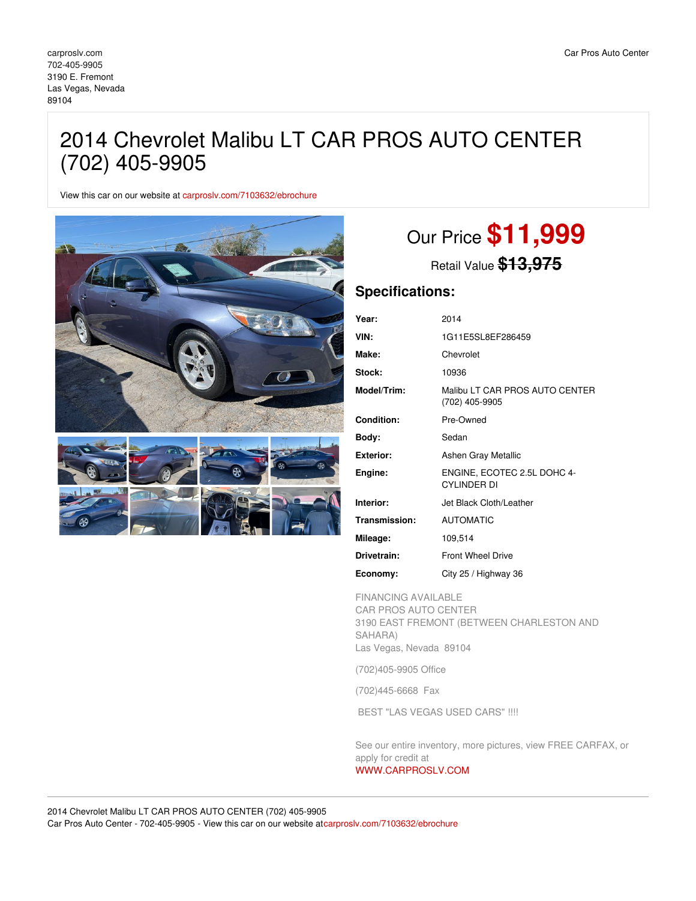## 2014 Chevrolet Malibu LT CAR PROS AUTO CENTER (702) 405-9905

View this car on our website at [carproslv.com/7103632/ebrochure](https://carproslv.com/vehicle/7103632/2014-chevrolet-malibu-lt-car-pros-auto-center-702-405-9905-las-vegas-nevada-89104/7103632/ebrochure)



# Our Price **\$11,999**

Retail Value **\$13,975**

### **Specifications:**

| Year:             | 2014                                             |
|-------------------|--------------------------------------------------|
| VIN:              | 1G11E5SL8EF286459                                |
| Make:             | Chevrolet                                        |
| Stock:            | 10936                                            |
| Model/Trim:       | Malibu LT CAR PROS AUTO CENTER<br>(702) 405-9905 |
| <b>Condition:</b> | Pre-Owned                                        |
| Body:             | Sedan                                            |
| Exterior:         | Ashen Gray Metallic                              |
| Engine:           | ENGINE, ECOTEC 2.5L DOHC 4-<br>CYI INDER DI      |
| Interior:         | Jet Black Cloth/Leather                          |
| Transmission:     | <b>AUTOMATIC</b>                                 |
| Mileage:          | 109,514                                          |
| Drivetrain:       | <b>Front Wheel Drive</b>                         |
| Economy:          | City 25 / Highway 36                             |

FINANCING AVAILABLE CAR PROS AUTO CENTER 3190 EAST FREMONT (BETWEEN CHARLESTON AND SAHARA) Las Vegas, Nevada 89104

(702)405-9905 Office

(702)445-6668 Fax

BEST "LAS VEGAS USED CARS" !!!!

See our entire inventory, more pictures, view FREE CARFAX, or apply for credit at

#### [WWW.CARPROSLV.COM](http://www.carproslv.com)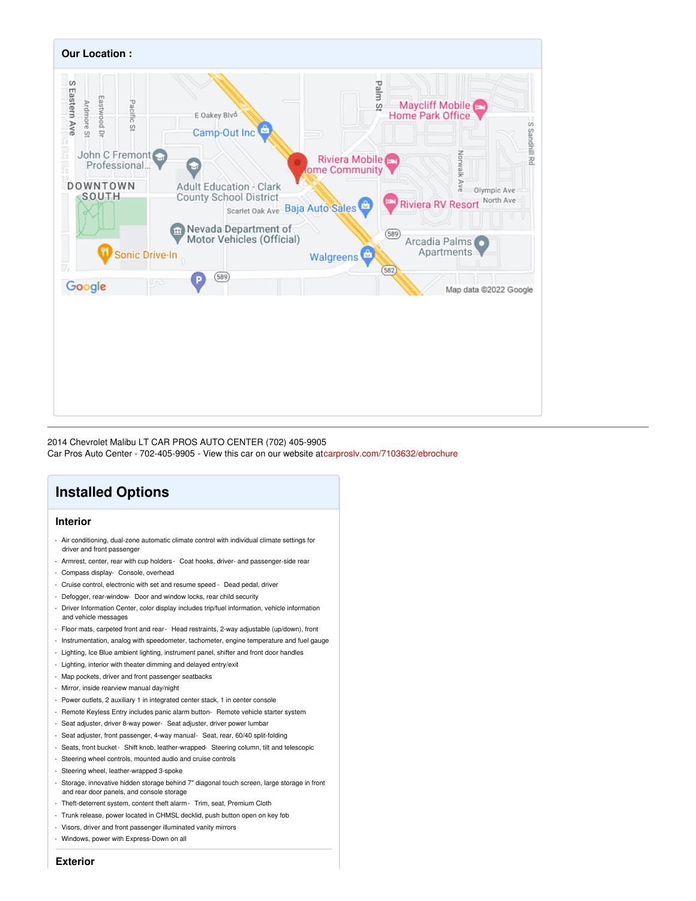

2014 Chevrolet Malibu LT CAR PROS AUTO CENTER (702) 405-9905

Car Pros Auto Center - 702-405-9905 - View this car on our website a[tcarproslv.com/7103632/ebrochure](https://carproslv.com/vehicle/7103632/2014-chevrolet-malibu-lt-car-pros-auto-center-702-405-9905-las-vegas-nevada-89104/7103632/ebrochure)

## **Installed Options**

#### **Interior**

- Air conditioning, dual-zone automatic climate control with individual climate settings for driver and front passenger
- Armrest, center, rear with cup holders Coat hooks, driver- and passenger-side rear
- Compass display- Console, overhead
- Cruise control, electronic with set and resume speed Dead pedal, driver
- Defogger, rear-window- Door and window locks, rear child security
- Driver Information Center, color display includes trip/fuel information, vehicle information and vehicle messages
- Floor mats, carpeted front and rear- Head restraints, 2-way adjustable (up/down), front
- Instrumentation, analog with speedometer, tachometer, engine temperature and fuel gauge
- Lighting, Ice Blue ambient lighting, instrument panel, shifter and front door handles
- Lighting, interior with theater dimming and delayed entry/exit
- Map pockets, driver and front passenger seatbacks
- Mirror, inside rearview manual day/night
- Power outlets, 2 auxiliary 1 in integrated center stack, 1 in center console
- Remote Keyless Entry includes panic alarm button- Remote vehicle starter system
- Seat adjuster, driver 8-way power- Seat adjuster, driver power lumbar
- Seat adjuster, front passenger, 4-way manual- Seat, rear, 60/40 split-folding
- Seats, front bucket- Shift knob, leather-wrapped- Steering column, tilt and telescopic
- Steering wheel controls, mounted audio and cruise controls
- Steering wheel, leather-wrapped 3-spoke
- Storage, innovative hidden storage behind 7" diagonal touch screen, large storage in front and rear door panels, and console storage
- Theft-deterrent system, content theft alarm- Trim, seat, Premium Cloth
- Trunk release, power located in CHMSL decklid, push button open on key fob
- Visors, driver and front passenger illuminated vanity mirrors
- Windows, power with Express-Down on all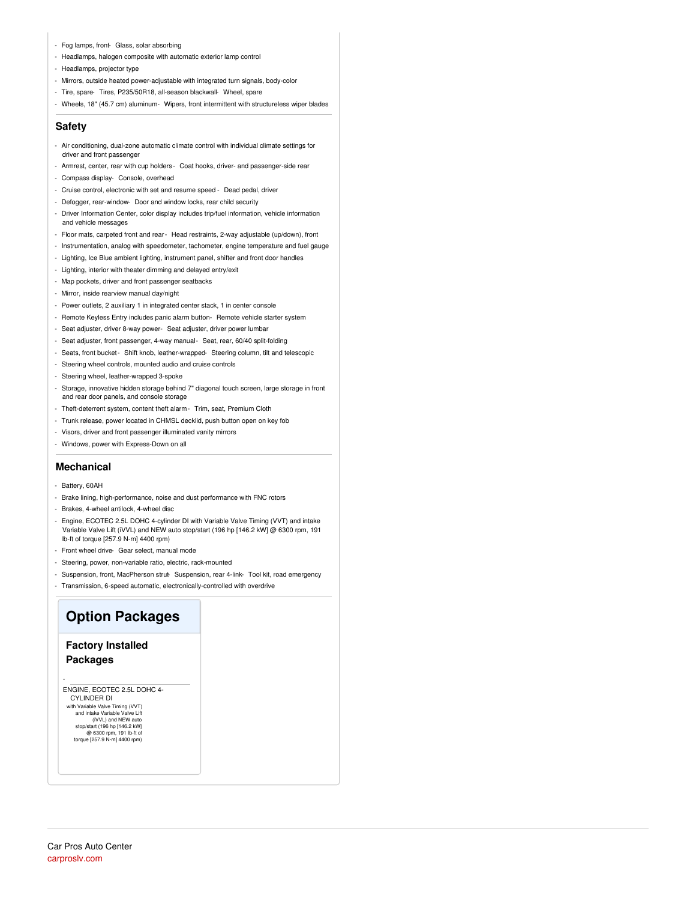- Fog lamps, front- Glass, solar absorbing
- Headlamps, halogen composite with automatic exterior lamp control
- Headlamps, projector type
- Mirrors, outside heated power-adjustable with integrated turn signals, body-color
- Tire, spare- Tires, P235/50R18, all-season blackwall- Wheel, spare
- Wheels, 18" (45.7 cm) aluminum- Wipers, front intermittent with structureless wiper blades

#### **Safety**

- Air conditioning, dual-zone automatic climate control with individual climate settings for driver and front passenger
- Armrest, center, rear with cup holders Coat hooks, driver- and passenger-side rear
- Compass display- Console, overhead
- Cruise control, electronic with set and resume speed Dead pedal, driver
- Defogger, rear-window- Door and window locks, rear child security
- Driver Information Center, color display includes trip/fuel information, vehicle information and vehicle messages
- Floor mats, carpeted front and rear- Head restraints, 2-way adjustable (up/down), front
- Instrumentation, analog with speedometer, tachometer, engine temperature and fuel gauge
- Lighting, Ice Blue ambient lighting, instrument panel, shifter and front door handles
- Lighting, interior with theater dimming and delayed entry/exit
- Map pockets, driver and front passenger seatbacks
- Mirror, inside rearview manual day/night
- Power outlets, 2 auxiliary 1 in integrated center stack, 1 in center console
- Remote Keyless Entry includes panic alarm button- Remote vehicle starter system
- Seat adjuster, driver 8-way power- Seat adjuster, driver power lumbar
- Seat adjuster, front passenger, 4-way manual- Seat, rear, 60/40 split-folding
- Seats, front bucket- Shift knob, leather-wrapped- Steering column, tilt and telescopic
- Steering wheel controls, mounted audio and cruise controls
- Steering wheel, leather-wrapped 3-spoke
- Storage, innovative hidden storage behind 7" diagonal touch screen, large storage in front and rear door panels, and console storage
- Theft-deterrent system, content theft alarm- Trim, seat, Premium Cloth
- Trunk release, power located in CHMSL decklid, push button open on key fob
- Visors, driver and front passenger illuminated vanity mirrors
- Windows, power with Express-Down on all

#### **Mechanical**

- Battery, 60AH
- Brake lining, high-performance, noise and dust performance with FNC rotors
- Brakes, 4-wheel antilock, 4-wheel disc
- Engine, ECOTEC 2.5L DOHC 4-cylinder DI with Variable Valve Timing (VVT) and intake Variable Valve Lift (iVVL) and NEW auto stop/start (196 hp [146.2 kW] @ 6300 rpm, 191 lb-ft of torque [257.9 N-m] 4400 rpm)
- Front wheel drive- Gear select, manual mode
- Steering, power, non-variable ratio, electric, rack-mounted
- Suspension, front, MacPherson strut-Suspension, rear 4-link- Tool kit, road emergency
- Transmission, 6-speed automatic, electronically-controlled with overdrive

## **Option Packages**

#### **Factory Installed Packages**

-

ENGINE, ECOTEC 2.5L DOHC 4- CYLINDER DI with Variable Valve Timing (VVT) and intake Variable Valve Lift

(iVVL) and NEW auto stop/start (196 hp [146.2 kW] @ 6300 rpm, 191 lb-ft of torque [257.9 N-m] 4400 rpm)